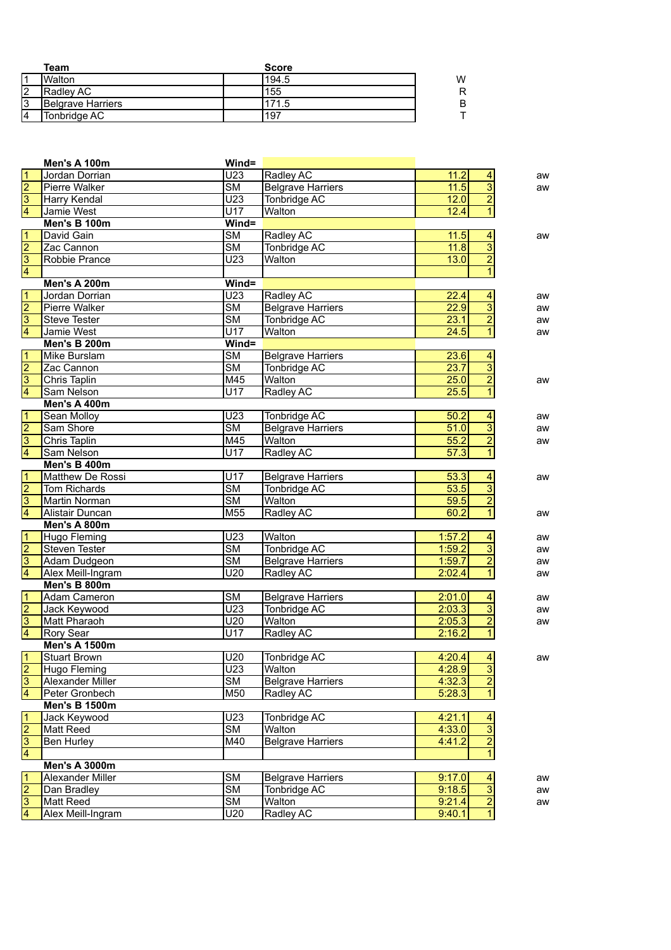|    | Team              | <b>Score</b> |   |
|----|-------------------|--------------|---|
|    | IWalton           | 194.5        | W |
| l2 | l Radlev AC       | 155          | R |
| IЗ | Belgrave Harriers | 71.5         | B |
| 14 | Tonbridge AC      | 197          |   |

|                                           | Men's A 100m            | Wind=                         |                          |                   |                           |    |
|-------------------------------------------|-------------------------|-------------------------------|--------------------------|-------------------|---------------------------|----|
|                                           | Jordan Dorrian          | U <sub>23</sub>               | Radley AC                | 11.2              | 4                         | aw |
|                                           | Pierre Walker           | $\overline{\text{SM}}$        | <b>Belgrave Harriers</b> | 11.5              | $\overline{\overline{3}}$ | aw |
|                                           | <b>Harry Kendal</b>     | U <sub>23</sub>               | Tonbridge AC             | 12.0              |                           |    |
| $\frac{1}{2}$ $\frac{2}{3}$ $\frac{1}{4}$ | Jamie West              | $\overline{U17}$              | Walton                   | 12.4              | $\frac{2}{1}$             |    |
|                                           | Men's B 100m            | Wind=                         |                          |                   |                           |    |
|                                           | David Gain              | $\overline{\text{SM}}$        | Radley AC                | 11.5              | 4                         | aw |
|                                           | Zac Cannon              | $\overline{\text{SM}}$        | Tonbridge AC             | 11.8              |                           |    |
|                                           | Robbie Prance           | $\overline{U23}$              | Walton                   | 13.0              | $\frac{3}{2}$             |    |
| $\frac{1}{2}$ $\frac{1}{3}$               |                         |                               |                          |                   | $\overline{1}$            |    |
|                                           | Men's A 200m            | Wind=                         |                          |                   |                           |    |
|                                           | Jordan Dorrian          | U <sub>23</sub>               | Radley AC                | 22.4              | 4                         | aw |
| $\frac{1}{2}$ $\frac{1}{3}$ $\frac{1}{4}$ | <b>Pierre Walker</b>    | $\overline{\text{SM}}$        | <b>Belgrave Harriers</b> | 22.9              | $\overline{\overline{3}}$ | aw |
|                                           | <b>Steve Tester</b>     | $\overline{\text{SM}}$        | <b>Tonbridge AC</b>      | 23.1              | $\overline{2}$            | aw |
|                                           | Jamie West              | $\overline{U17}$              | Walton                   | 24.5              | $\overline{1}$            | aw |
|                                           | Men's B 200m            | Wind=                         |                          |                   |                           |    |
|                                           | Mike Burslam            | $\overline{\text{SM}}$        | <b>Belgrave Harriers</b> | 23.6              | 4                         |    |
| $\frac{1}{2}$ $\frac{2}{3}$ $\frac{1}{4}$ | Zac Cannon              | $\overline{\text{SM}}$        | Tonbridge AC             | 23.7              | $\overline{3}$            |    |
|                                           | Chris Taplin            | M45                           | Walton                   | 25.0              | $\overline{2}$            |    |
|                                           |                         | $\overline{U17}$              |                          | 25.5              | $\overline{1}$            | aw |
|                                           | Sam Nelson              |                               | Radley AC                |                   |                           |    |
|                                           | Men's A 400m            |                               |                          |                   |                           |    |
| $\frac{1}{2}$ $\frac{2}{3}$ $\frac{1}{4}$ | Sean Molloy             | U23<br>$\overline{\text{SM}}$ | Tonbridge AC             | 50.2              | 4                         | aw |
|                                           | Sam Shore               |                               | <b>Belgrave Harriers</b> | 51.0              | $\overline{3}$            | aw |
|                                           | Chris Taplin            | M45                           | Walton                   | 55.2              | $\overline{2}$            | aw |
|                                           | Sam Nelson              | $\overline{U17}$              | Radley AC                | $\overline{57.3}$ | $\overline{1}$            |    |
|                                           | Men's B 400m            |                               |                          |                   |                           |    |
| $\frac{1}{2}$ $\frac{2}{3}$ $\frac{3}{4}$ | Matthew De Rossi        | U17                           | <b>Belgrave Harriers</b> | 53.3              | 4                         | aw |
|                                           | Tom Richards            | <b>SM</b>                     | Tonbridge AC             | 53.5              | $\frac{3}{2}$             |    |
|                                           | Martin Norman           | $\overline{\text{SM}}$        | Walton                   | 59.5              |                           |    |
|                                           | Alistair Duncan         | M55                           | Radley AC                | 60.2              | $\overline{1}$            | aw |
|                                           | Men's A 800m            |                               |                          |                   |                           |    |
| $\frac{1}{2}$ $\frac{1}{3}$               | Hugo Fleming            | U23                           | Walton                   | 1:57.2            | 4                         | aw |
|                                           | <b>Steven Tester</b>    | $\overline{\text{SM}}$        | Tonbridge AC             | 1:59.2            | $\frac{3}{2}$             | aw |
|                                           | Adam Dudgeon            | $\overline{\text{SM}}$        | <b>Belgrave Harriers</b> | 1:59.7            |                           | aw |
|                                           | Alex Meill-Ingram       | U20                           | Radley AC                | 2:02.4            | $\overline{1}$            | aw |
|                                           | Men's B 800m            |                               |                          |                   |                           |    |
| $\frac{1}{2}$ $\frac{2}{3}$ $\frac{3}{4}$ | Adam Cameron            | $\overline{\text{SM}}$        | <b>Belgrave Harriers</b> | 2:01.0            | 4                         | aw |
|                                           | Jack Keywood            | $\overline{U23}$              | <b>Tonbridge AC</b>      | 2:03.3            | $\frac{3}{2}$             | aw |
|                                           | Matt Pharaoh            | U20                           | Walton                   | 2:05.3            |                           | aw |
|                                           | <b>Rory Sear</b>        | $\overline{U17}$              | Radley AC                | 2:16.2            | $\overline{1}$            |    |
|                                           | <b>Men's A 1500m</b>    |                               |                          |                   |                           |    |
| $\overline{1}$                            | Stuart Brown            | U20                           | Tonbridge AC             | 4:20.4            | $\overline{4}$            | aw |
| $\frac{2}{3}$                             | Hugo Fleming            | U23                           | Walton                   | 4:28.9            | $\overline{3}$            |    |
|                                           | <b>Alexander Miller</b> | $\overline{\text{SM}}$        | <b>Belgrave Harriers</b> | 4:32.3            | $\overline{2}$            |    |
|                                           | Peter Gronbech          | M50                           | Radley AC                | 5:28.3            | $\overline{1}$            |    |
|                                           | <b>Men's B 1500m</b>    |                               |                          |                   |                           |    |
|                                           | Jack Keywood            | U23                           | Tonbridge AC             | 4:21.1            | $\overline{4}$            |    |
|                                           | Matt Reed               | $\overline{\text{SM}}$        | Walton                   | 4:33.0            | $\overline{3}$            |    |
| $\frac{1}{2}$ $\frac{1}{3}$ $\frac{1}{4}$ | Ben Hurley              | M40                           | <b>Belgrave Harriers</b> | 4:41.2            |                           |    |
|                                           |                         |                               |                          |                   | $\frac{2}{1}$             |    |
|                                           | <b>Men's A 3000m</b>    |                               |                          |                   |                           |    |
|                                           | <b>Alexander Miller</b> | $\overline{\text{SM}}$        | <b>Belgrave Harriers</b> | 9:17.0            | $\overline{\mathbf{4}}$   | aw |
|                                           | Dan Bradley             | $\overline{\text{SM}}$        | Tonbridge AC             | 9:18.5            | $\overline{3}$            | aw |
|                                           | <b>Matt Reed</b>        | $\overline{\text{SM}}$        | Walton                   | 9:21.4            | $\overline{2}$            | aw |
| $\frac{1}{2}$ $\frac{1}{4}$               | Alex Meill-Ingram       | U20                           | Radley AC                | 9:40.1            | $\overline{1}$            |    |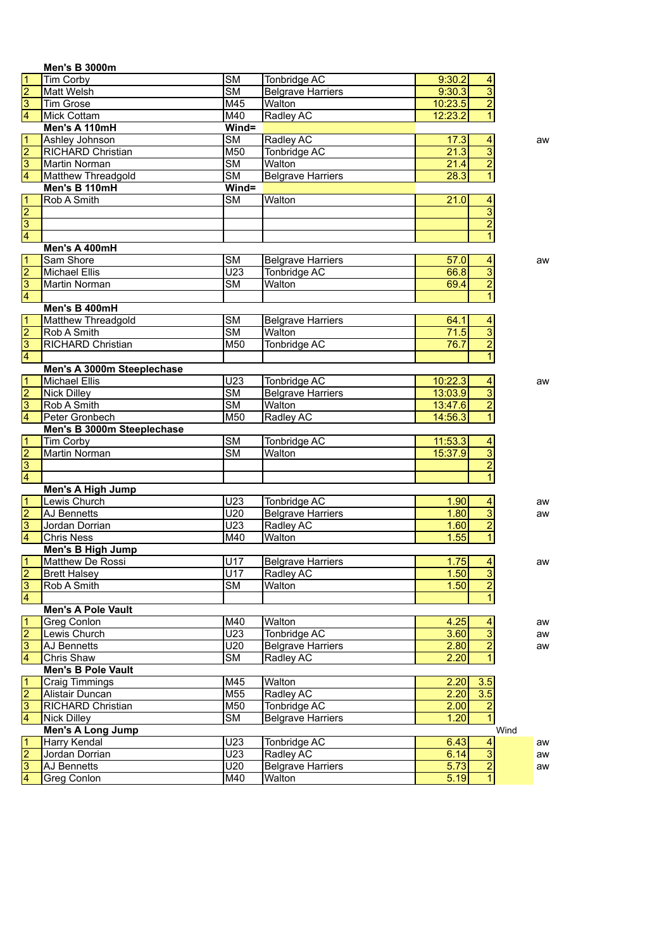|                                  | <b>Men's B 3000m</b>               |                        |                                       |         |                                             |          |
|----------------------------------|------------------------------------|------------------------|---------------------------------------|---------|---------------------------------------------|----------|
| $\vert$ 1                        | Tim Corby                          | $\overline{\text{SM}}$ | Tonbridge AC                          | 9:30.2  | 4                                           |          |
| $\overline{2}$                   | <b>Matt Welsh</b>                  | $\overline{\text{SM}}$ | <b>Belgrave Harriers</b>              | 9:30.3  |                                             |          |
| $\overline{\mathbf{3}}$          | <b>Tim Grose</b>                   | M45                    | Walton                                | 10:23.5 | $\frac{ \infty }{2}$                        |          |
| 4                                | Mick Cottam                        | M40                    | Radley AC                             | 12:23.2 | $\overline{1}$                              |          |
|                                  | Men's A 110mH                      | Wind=                  |                                       |         |                                             |          |
| $\overline{\mathbf{1}}$          | Ashley Johnson                     | $\overline{\text{SM}}$ | Radley AC                             | 17.3    | 4                                           | aw       |
| $\overline{2}$                   | <b>RICHARD Christian</b>           | M50                    | Tonbridge AC                          | 21.3    | $\frac{a}{2}$                               |          |
| $\overline{\mathsf{3}}$          | <b>Martin Norman</b>               | $\overline{\text{SM}}$ | Walton                                | 21.4    |                                             |          |
| $\overline{4}$                   | Matthew Threadgold                 | <b>SM</b>              | <b>Belgrave Harriers</b>              | 28.3    | $\overline{1}$                              |          |
|                                  | Men's B 110mH                      | Wind=                  |                                       |         |                                             |          |
| $\vert$ 1                        | Rob A Smith                        | <b>SM</b>              | Walton                                | 21.0    | 4                                           |          |
| $\overline{2}$                   |                                    |                        |                                       |         | $\frac{1}{2}$                               |          |
| $\overline{3}$                   |                                    |                        |                                       |         |                                             |          |
| $\overline{4}$                   |                                    |                        |                                       |         | $\overline{1}$                              |          |
|                                  | Men's A 400mH                      |                        |                                       |         |                                             |          |
| $\overline{1}$                   | Sam Shore                          | <b>SM</b>              | <b>Belgrave Harriers</b>              | 57.0    | $\frac{4}{3}$                               | aw       |
| $\overline{2}$                   | <b>Michael Ellis</b>               | U <sub>23</sub>        | Tonbridge AC                          | 66.8    |                                             |          |
| $\overline{\mathbf{3}}$          | <b>Martin Norman</b>               | $\overline{\text{SM}}$ | Walton                                | 69.4    | $\frac{2}{1}$                               |          |
| 4                                |                                    |                        |                                       |         |                                             |          |
|                                  | Men's B 400mH                      |                        |                                       |         |                                             |          |
| $\overline{\mathbb{1}}$          | <b>Matthew Threadgold</b>          | $\overline{\text{SM}}$ | <b>Belgrave Harriers</b>              | 64.1    | $\overline{\mathbf{4}}$                     |          |
| $\overline{2}$                   | Rob A Smith                        | $\overline{\text{SM}}$ | Walton                                | 71.5    | $\frac{3}{2}$                               |          |
| $\overline{3}$                   | <b>RICHARD Christian</b>           | M50                    | <b>Tonbridge AC</b>                   | 76.7    |                                             |          |
| $\overline{4}$                   |                                    |                        |                                       |         | $\overline{1}$                              |          |
|                                  | Men's A 3000m Steeplechase         |                        |                                       |         |                                             |          |
| $\overline{1}$                   | <b>Michael Ellis</b>               | U <sub>23</sub>        | Tonbridge AC                          | 10:22.3 | $\overline{4}$                              | aw       |
| $\overline{2}$                   | <b>Nick Dilley</b>                 | $\overline{\text{SM}}$ | <b>Belgrave Harriers</b>              | 13:03.9 | $\overline{3}$                              |          |
| 3                                | Rob A Smith                        | $\overline{\text{SM}}$ | Walton                                | 13:47.6 | $\overline{2}$                              |          |
| 4                                | Peter Gronbech                     | M50                    | <b>Radley AC</b>                      | 14:56.3 | $\overline{1}$                              |          |
|                                  | Men's B 3000m Steeplechase         |                        |                                       |         |                                             |          |
| $\overline{1}$                   | <b>Tim Corby</b>                   | $\overline{\text{SM}}$ | Tonbridge AC                          | 11:53.3 | $\overline{4}$                              |          |
| $\overline{2}$                   | Martin Norman                      | $\overline{\text{SM}}$ | Walton                                | 15:37.9 | $\overline{3}$                              |          |
| $\overline{\overline{3}}$        |                                    |                        |                                       |         | $\overline{2}$                              |          |
| $\overline{4}$                   |                                    |                        |                                       |         | $\overline{1}$                              |          |
|                                  | <b>Men's A High Jump</b>           |                        |                                       |         |                                             |          |
| $\overline{1}$<br>$\overline{2}$ | Lewis Church                       | U23<br>U20             | Tonbridge AC                          | 1.90    | $\overline{4}$<br>$\overline{\overline{3}}$ | aw       |
|                                  | <b>AJ Bennetts</b>                 |                        | <b>Belgrave Harriers</b>              | 1.80    |                                             | aw       |
| 3                                | Jordan Dorrian                     | U23                    | Radley AC                             | 1.60    | $\overline{2}$<br>$\overline{1}$            |          |
| $\overline{4}$                   | <b>Chris Ness</b>                  | M40                    | Walton                                | 1.55    |                                             |          |
| $\overline{\mathbb{1}}$          | Men's B High Jump                  | U17                    |                                       | 1.75    |                                             |          |
| $\overline{2}$                   | Matthew De Rossi                   | U17                    | <b>Belgrave Harriers</b><br>Radley AC | 1.50    | $\overline{4}$                              | aw       |
| $\overline{\mathbf{3}}$          | <b>Brett Halsey</b><br>Rob A Smith | $\overline{\text{SM}}$ | Walton                                | 1.50    | $\frac{1}{2}$                               |          |
| 4                                |                                    |                        |                                       |         | $\overline{1}$                              |          |
|                                  | <b>Men's A Pole Vault</b>          |                        |                                       |         |                                             |          |
| $\overline{1}$                   | <b>Greg Conlon</b>                 | M40                    | Walton                                | 4.25    | $\vert 4 \vert$                             |          |
| $\overline{2}$                   | Lewis Church                       | U23                    | Tonbridge AC                          | 3.60    | $\overline{3}$                              | aw<br>aw |
| 3                                | <b>AJ Bennetts</b>                 | $\overline{U20}$       | <b>Belgrave Harriers</b>              | 2.80    | $\overline{2}$                              | aw       |
| 4                                | Chris Shaw                         | $\overline{\text{SM}}$ | Radley AC                             | 2.20    | $\overline{1}$                              |          |
|                                  | Men's B Pole Vault                 |                        |                                       |         |                                             |          |
| $\overline{1}$                   | <b>Craig Timmings</b>              | M45                    | Walton                                | 2.20    | 3.5                                         |          |
| $\overline{2}$                   | Alistair Duncan                    | M55                    | Radley AC                             | 2.20    | 3.5                                         |          |
| $\overline{\mathbf{3}}$          | <b>RICHARD Christian</b>           | M50                    | Tonbridge AC                          | 2.00    | $\overline{2}$                              |          |
| 4                                | <b>Nick Dilley</b>                 | $\overline{\text{SM}}$ | <b>Belgrave Harriers</b>              | 1.20    | $\overline{1}$                              |          |
|                                  | Men's A Long Jump                  |                        |                                       |         |                                             | Wind     |
| $\vert$ 1                        | Harry Kendal                       | U23                    | Tonbridge AC                          | 6.43    | $\overline{4}$                              | aw       |
| $\overline{2}$                   | Jordan Dorrian                     | U23                    | <b>Radley AC</b>                      | 6.14    |                                             | aw       |
| 3                                | <b>AJ Bennetts</b>                 | U20                    | <b>Belgrave Harriers</b>              | 5.73    |                                             | aw       |
| 4                                | <b>Greg Conlon</b>                 | M40                    | Walton                                | 5.19    | $\frac{a}{2}$                               |          |
|                                  |                                    |                        |                                       |         |                                             |          |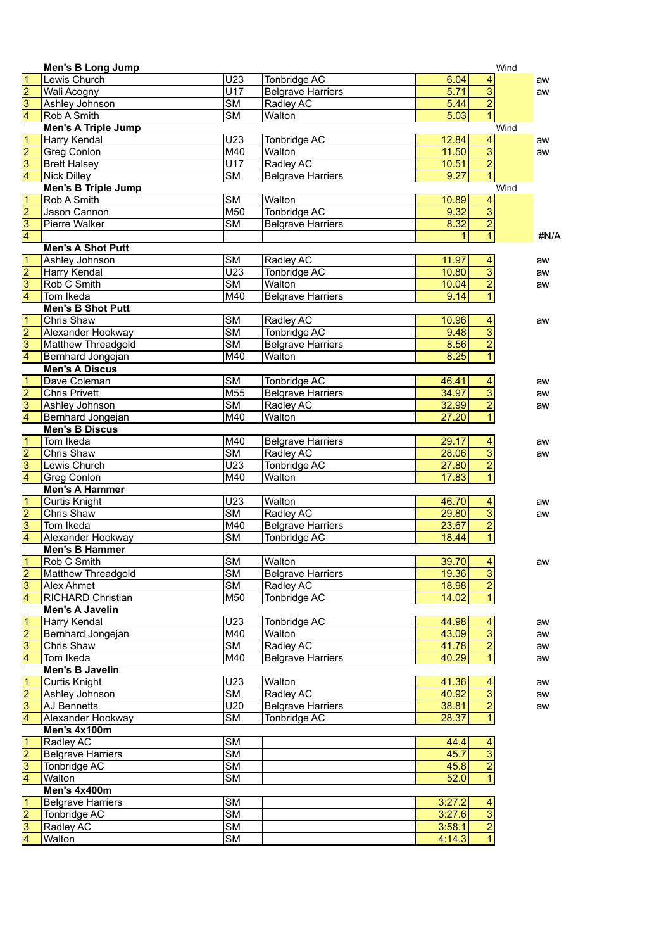|                         | <b>Men's B Long Jump</b>           |                        |                          |                |                         | Wind |      |
|-------------------------|------------------------------------|------------------------|--------------------------|----------------|-------------------------|------|------|
| $\vert$ 1               | Lewis Church                       | $\overline{U23}$       | Tonbridge AC             | 6.04           | 4                       |      | aw   |
| $\overline{2}$          | <b>Wali Acogny</b>                 | $\overline{U17}$       | <b>Belgrave Harriers</b> | 5.71           | $\overline{3}$          |      | aw   |
| $\frac{3}{4}$           | Ashley Johnson                     | $\overline{\text{SM}}$ | Radley AC                | 5.44           | $\overline{2}$          |      |      |
|                         | Rob A Smith                        | $\overline{\text{SM}}$ | Walton                   | 5.03           | $\overline{1}$          |      |      |
|                         | <b>Men's A Triple Jump</b>         |                        |                          |                |                         | Wind |      |
| $\overline{1}$          | <b>Harry Kendal</b>                | U <sub>23</sub>        | <b>Tonbridge AC</b>      | 12.84          | 4                       |      | aw   |
| $\frac{2}{3}$           | Greg Conlon                        | M40                    | Walton                   | 11.50          | $\overline{3}$          |      | aw   |
|                         | <b>Brett Halsey</b>                | U17                    | Radley AC                | 10.51          | $\overline{2}$          |      |      |
| $\frac{1}{4}$           | <b>Nick Dilley</b>                 | $\overline{\text{SM}}$ | <b>Belgrave Harriers</b> | 9.27           | $\overline{1}$          |      |      |
|                         | <b>Men's B Triple Jump</b>         |                        |                          |                |                         | Wind |      |
| $\overline{1}$          | Rob A Smith                        | $\overline{\text{SM}}$ | Walton                   | 10.89          | 4                       |      |      |
|                         | Jason Cannon                       | M <sub>50</sub>        | Tonbridge AC             | 9.32           | $\overline{3}$          |      |      |
| $\frac{2}{3}$           | Pierre Walker                      | $\overline{\text{SM}}$ | <b>Belgrave Harriers</b> | 8.32           | $\overline{2}$          |      |      |
|                         |                                    |                        |                          |                | 1                       |      | #N/A |
|                         | <b>Men's A Shot Putt</b>           |                        |                          |                |                         |      |      |
| $\overline{\mathsf{1}}$ | Ashley Johnson                     | $\overline{\text{SM}}$ | Radley AC                | 11.97          | 4                       |      | aw   |
| $\overline{2}$          | Harry Kendal                       | $\overline{U23}$       | Tonbridge AC             | 10.80          | $\overline{3}$          |      | aw   |
| $\overline{3}$          | Rob C Smith                        | $\overline{\text{SM}}$ | Walton                   | 10.04          | $\overline{2}$          |      | aw   |
| $\overline{4}$          | Tom Ikeda                          | M40                    | <b>Belgrave Harriers</b> | 9.14           | 1                       |      |      |
|                         | <b>Men's B Shot Putt</b>           |                        |                          |                |                         |      |      |
| $\overline{1}$          | <b>Chris Shaw</b>                  | $\overline{\text{SM}}$ | Radley AC                | 10.96          | 4                       |      | aw   |
|                         | Alexander Hookway                  | $\overline{\text{SM}}$ | <b>Tonbridge AC</b>      | 9.48           | $\overline{3}$          |      |      |
| $\frac{2}{4}$           | Matthew Threadgold                 | $\overline{\text{SM}}$ | <b>Belgrave Harriers</b> | 8.56           | $\overline{2}$          |      |      |
|                         | Bernhard Jongejan                  | M40                    | Walton                   | 8.25           | $\overline{1}$          |      |      |
|                         | <b>Men's A Discus</b>              |                        |                          |                |                         |      |      |
| $\frac{1}{2}$           | Dave Coleman                       | <b>SM</b>              | Tonbridge AC             | 46.41          | $\overline{4}$          |      | aw   |
|                         | <b>Chris Privett</b>               | M55                    | <b>Belgrave Harriers</b> | 34.97          | $\overline{3}$          |      | aw   |
| $\frac{1}{4}$           | Ashley Johnson                     | $\overline{\text{SM}}$ | Radley AC                | 32.99          | $\overline{2}$          |      | aw   |
|                         | Bernhard Jongejan                  | M40                    | Walton                   | 27.20          | $\mathbf{1}$            |      |      |
|                         | <b>Men's B Discus</b>              |                        |                          |                |                         |      |      |
| $\overline{1}$          | Tom Ikeda                          | M40                    | <b>Belgrave Harriers</b> | 29.17          | 4                       |      | aw   |
| $\frac{2}{4}$           | Chris Shaw                         | $\overline{\text{SM}}$ | Radley AC                | 28.06          | $\overline{3}$          |      | aw   |
|                         | Lewis Church                       | $\overline{U23}$       | <b>Tonbridge AC</b>      | 27.80          | $\overline{2}$          |      |      |
|                         | Greg Conlon                        | M40                    | Walton                   | 17.83          | 1                       |      |      |
| $\overline{1}$          | <b>Men's A Hammer</b>              | U <sub>23</sub>        | Walton                   |                |                         |      |      |
|                         | <b>Curtis Knight</b><br>Chris Shaw | $\overline{\text{SM}}$ | Radley AC                | 46.70<br>29.80 | 4<br>$\overline{3}$     |      | aw   |
| $\frac{2}{3}$           | Tom Ikeda                          | M40                    | <b>Belgrave Harriers</b> | 23.67          | $\overline{2}$          |      | aw   |
| $\overline{4}$          | Alexander Hookway                  | $\overline{\text{SM}}$ | <b>Tonbridge AC</b>      | 18.44          | $\mathbf{1}$            |      |      |
|                         | <b>Men's B Hammer</b>              |                        |                          |                |                         |      |      |
| $\overline{1}$          | Rob C Smith                        | $\overline{\text{SM}}$ | Walton                   | 39.70          | $\overline{4}$          |      | aw   |
| $\overline{2}$          | Matthew Threadgold                 | <b>SM</b>              | <b>Belgrave Harriers</b> | 19.36          | $\overline{\mathbf{3}}$ |      |      |
| $\overline{3}$          | <b>Alex Ahmet</b>                  | $\overline{\text{SM}}$ | Radley AC                | 18.98          | $\overline{2}$          |      |      |
| $\overline{4}$          | <b>RICHARD Christian</b>           | M50                    | Tonbridge AC             | 14.02          | $\mathbf{1}$            |      |      |
|                         | Men's A Javelin                    |                        |                          |                |                         |      |      |
| $\vert$ 1               | Harry Kendal                       | U23                    | Tonbridge AC             | 44.98          |                         |      | aw   |
| 2                       | Bernhard Jongejan                  | M40                    | Walton                   | 43.09          | $\overline{3}$          |      | aw   |
| $\overline{3}$          | Chris Shaw                         | $\overline{\text{SM}}$ | Radley AC                | 41.78          | $\overline{2}$          |      | aw   |
| $\overline{4}$          | Tom Ikeda                          | M40                    | <b>Belgrave Harriers</b> | 40.29          | $\overline{1}$          |      | aw   |
|                         | Men's B Javelin                    |                        |                          |                |                         |      |      |
| $\vert$ 1               | <b>Curtis Knight</b>               | U23                    | Walton                   | 41.36          | $\overline{4}$          |      | aw   |
| $\overline{2}$          | Ashley Johnson                     | $\overline{\text{SM}}$ | Radley AC                | 40.92          | $\overline{3}$          |      | aw   |
| $\overline{3}$          | <b>AJ</b> Bennetts                 | U20                    | <b>Belgrave Harriers</b> | 38.81          | $\overline{2}$          |      | aw   |
| $\vert 4$               | Alexander Hookway                  | $\overline{\text{SM}}$ | Tonbridge AC             | 28.37          | 1                       |      |      |
|                         | Men's 4x100m                       |                        |                          |                |                         |      |      |
| 1                       | Radley AC                          | $\overline{\text{SM}}$ |                          | 44.4           | 4                       |      |      |
| $\overline{2}$          | <b>Belgrave Harriers</b>           | $\overline{\text{SM}}$ |                          | 45.7           | $\overline{3}$          |      |      |
| $\overline{3}$          | Tonbridge AC                       | $\overline{\text{SM}}$ |                          | 45.8           | $\overline{2}$          |      |      |
| $\overline{4}$          | Walton                             | $\overline{\text{SM}}$ |                          | 52.0           | $\overline{1}$          |      |      |
|                         | <b>Men's 4x400m</b>                |                        |                          |                |                         |      |      |
| $\overline{1}$          | <b>Belgrave Harriers</b>           | $\overline{\text{SM}}$ |                          | 3:27.2         | 4                       |      |      |
|                         | Tonbridge AC                       | $\overline{\text{SM}}$ |                          | 3:27.6         | $\overline{\mathbf{3}}$ |      |      |
| $\frac{2}{4}$           | Radley AC                          | $\overline{\text{SM}}$ |                          | 3:58.1         | $\overline{2}$          |      |      |
|                         | Walton                             | $\overline{\text{SM}}$ |                          | 4:14.3         | $\mathbf{1}$            |      |      |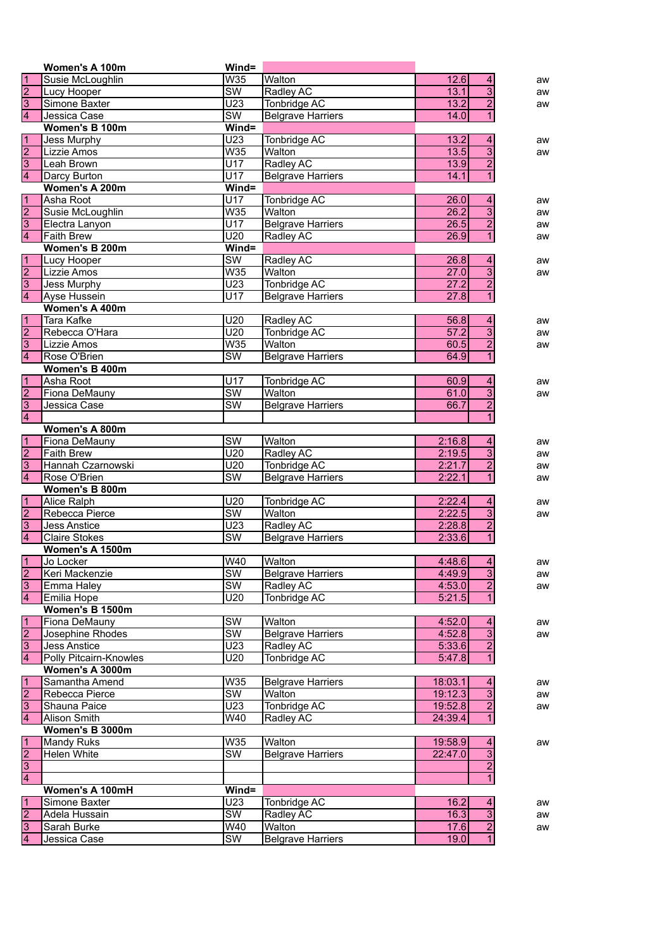|                         | Women's A 100m                | Wind=                  |                          |         |                           |    |
|-------------------------|-------------------------------|------------------------|--------------------------|---------|---------------------------|----|
| $\overline{1}$          | Susie McLoughlin              | W35                    | Walton                   | 12.6    | 4                         | aw |
| $\overline{2}$          | Lucy Hooper                   | $\overline{\text{SW}}$ | Radley AC                | 13.1    | $\overline{3}$            | aw |
| 3                       | Simone Baxter                 | U23                    | Tonbridge AC             | 13.2    | $\overline{2}$            | aw |
| $\overline{4}$          | Jessica Case                  | $\overline{\text{SW}}$ | <b>Belgrave Harriers</b> | 14.0    | $\mathbf{1}$              |    |
|                         | Women's B 100m                | Wind=                  |                          |         |                           |    |
| $\overline{1}$          | Jess Murphy                   | $\overline{U23}$       | <b>Tonbridge AC</b>      | 13.2    | 4                         | aw |
| $\frac{2}{3}$           | Lizzie Amos                   | W35                    | Walton                   | 13.5    | $\overline{3}$            | aw |
|                         | Leah Brown                    | U17                    | Radley AC                | 13.9    | $\overline{2}$            |    |
| $\overline{4}$          | Darcy Burton                  | U17                    | <b>Belgrave Harriers</b> | 14.1    | $\overline{1}$            |    |
|                         | Women's A 200m                | $Wind =$               |                          |         |                           |    |
| $\overline{\mathsf{1}}$ | Asha Root                     | $\overline{U17}$       | Tonbridge AC             | 26.0    | 4                         | aw |
| $\overline{2}$          | Susie McLoughlin              | W35                    | Walton                   | 26.2    | $\overline{3}$            | aw |
| $\overline{3}$          | Electra Lanyon                | $\overline{U17}$       | <b>Belgrave Harriers</b> | 26.5    | $\overline{2}$            | aw |
| $\overline{4}$          | Faith Brew                    | U20                    | <b>Radley AC</b>         | 26.9    | $\mathbf{1}$              | aw |
|                         | Women's B 200m                | Wind=                  |                          |         |                           |    |
| $\overline{1}$          | Lucy Hooper                   | $\overline{\text{SW}}$ | Radley AC                | 26.8    | 4                         | aw |
| $\sqrt{\frac{2}{3}}$    | Lizzie Amos                   | W35                    | Walton                   | 27.0    | $\overline{3}$            | aw |
|                         | Jess Murphy                   | U23                    | Tonbridge AC             | 27.2    | $\overline{2}$            |    |
| $\overline{4}$          | Ayse Hussein                  | U17                    | <b>Belgrave Harriers</b> | 27.8    | $\overline{1}$            |    |
|                         | Women's A 400m                |                        |                          |         |                           |    |
| $\overline{1}$          | <b>Tara Kafke</b>             | U20                    | Radley AC                | 56.8    | 4                         | aw |
| $\overline{2}$          | Rebecca O'Hara                | U20                    | <b>Tonbridge AC</b>      | 57.2    | $\overline{3}$            | aw |
| $\overline{3}$          | Lizzie Amos                   | W35                    | Walton                   | 60.5    | $\overline{2}$            | aw |
| $\overline{4}$          | Rose O'Brien                  | $\overline{\text{SW}}$ | <b>Belgrave Harriers</b> | 64.9    | $\overline{1}$            |    |
|                         | Women's B 400m                |                        |                          |         |                           |    |
| $\overline{1}$          | Asha Root                     | U17                    | <b>Tonbridge AC</b>      | 60.9    | $\overline{4}$            | aw |
| $\overline{2}$          | <b>Fiona DeMauny</b>          | $\overline{\text{sw}}$ | Walton                   | 61.0    | $\overline{\overline{3}}$ | aw |
| $\overline{3}$          | Jessica Case                  | $\overline{\text{SW}}$ | <b>Belgrave Harriers</b> | 66.7    | $\overline{2}$            |    |
| $\overline{4}$          |                               |                        |                          |         | $\mathbf{1}$              |    |
|                         | Women's A 800m                |                        |                          |         |                           |    |
| $\overline{1}$          | Fiona DeMauny                 | $\overline{\text{SW}}$ | Walton                   | 2:16.8  | 4                         | aw |
|                         | <b>Faith Brew</b>             | U20                    | Radley AC                | 2:19.5  | $\overline{3}$            | aw |
| $\sqrt{\frac{2}{3}}$    | Hannah Czarnowski             | U20                    | Tonbridge AC             | 2:21.7  | $\overline{2}$            | aw |
| $\overline{4}$          | Rose O'Brien                  | $\overline{\text{SW}}$ | <b>Belgrave Harriers</b> | 2:22.1  | $\overline{1}$            | aw |
|                         | Women's B 800m                |                        |                          |         |                           |    |
| $\sqrt{1}$              | Alice Ralph                   | U20                    | Tonbridge AC             | 2:22.4  | 4                         | aw |
| $\overline{2}$          | Rebecca Pierce                | $\overline{\text{SW}}$ | Walton                   | 2:22.5  | $\overline{3}$            | aw |
| $\overline{3}$          | Jess Anstice                  | U <sub>23</sub>        | Radley AC                | 2:28.8  | $\overline{c}$            |    |
| $\overline{4}$          | Claire Stokes                 | $\overline{\text{SW}}$ | <b>Belgrave Harriers</b> | 2:33.6  | 1                         |    |
|                         | Women's A 1500m               |                        |                          |         |                           |    |
| ⊺⊺                      | Jo Locker                     | W40                    | Walton                   | 4:48.6  | $\overline{4}$            | aw |
| $\overline{2}$          | Keri Mackenzie                | SW                     | Belgrave Harriers        | 4:49.9  | $\overline{3}$            | aw |
| $\overline{3}$          | Emma Haley                    | $\overline{\text{SW}}$ | Radley AC                | 4:53.0  | $\overline{2}$            | aw |
| $\overline{4}$          | Emilia Hope                   | U20                    | Tonbridge AC             | 5:21.5  | 1                         |    |
|                         | Women's B 1500m               |                        |                          |         |                           |    |
| $\vert$ 1               | Fiona DeMauny                 | SW                     | Walton                   | 4:52.0  | 4                         | aw |
| $\overline{2}$          | Josephine Rhodes              | $\overline{\text{SW}}$ | <b>Belgrave Harriers</b> | 4:52.8  | $\overline{3}$            | aw |
| $\overline{3}$          | <b>Jess Anstice</b>           | U23                    | Radley AC                | 5:33.6  | $\overline{2}$            |    |
| $\overline{4}$          | <b>Polly Pitcairn-Knowles</b> | U20                    | <b>Tonbridge AC</b>      | 5:47.8  | $\overline{1}$            |    |
|                         | Women's A 3000m               |                        |                          |         |                           |    |
| $\overline{1}$          | Samantha Amend                | W35                    | <b>Belgrave Harriers</b> | 18:03.1 | $\overline{4}$            | aw |
| $\overline{2}$          | Rebecca Pierce                | $\overline{\text{SW}}$ | Walton                   | 19:12.3 | $\overline{3}$            | aw |
| $\overline{3}$          | Shauna Paice                  | U23                    | Tonbridge AC             | 19:52.8 | $\overline{2}$            | aw |
| 4                       | Alison Smith                  | W40                    | Radley AC                | 24:39.4 | $\overline{1}$            |    |
|                         | Women's B 3000m               |                        |                          |         |                           |    |
| $\overline{\mathbf{1}}$ | Mandy Ruks                    | W35                    | Walton                   | 19:58.9 | 4                         | aw |
| $\frac{2}{4}$           | Helen White                   | $\overline{\text{SW}}$ | <b>Belgrave Harriers</b> | 22:47.0 | $\overline{3}$            |    |
|                         |                               |                        |                          |         | $\overline{2}$            |    |
|                         |                               |                        |                          |         | $\overline{1}$            |    |
|                         | Women's A 100mH               | Wind=                  |                          |         |                           |    |
| $\overline{1}$          | Simone Baxter                 | U23                    | Tonbridge AC             | 16.2    | 4                         | aw |
| $\overline{2}$          | Adela Hussain                 | $\overline{\text{SW}}$ | Radley AC                | 16.3    | 3                         | aw |
| $\overline{3}$          | Sarah Burke                   | W40                    | Walton                   | 17.6    | $\overline{2}$            | aw |
| $\overline{4}$          | Jessica Case                  | SW                     | <b>Belgrave Harriers</b> | 19.0    | $\overline{1}$            |    |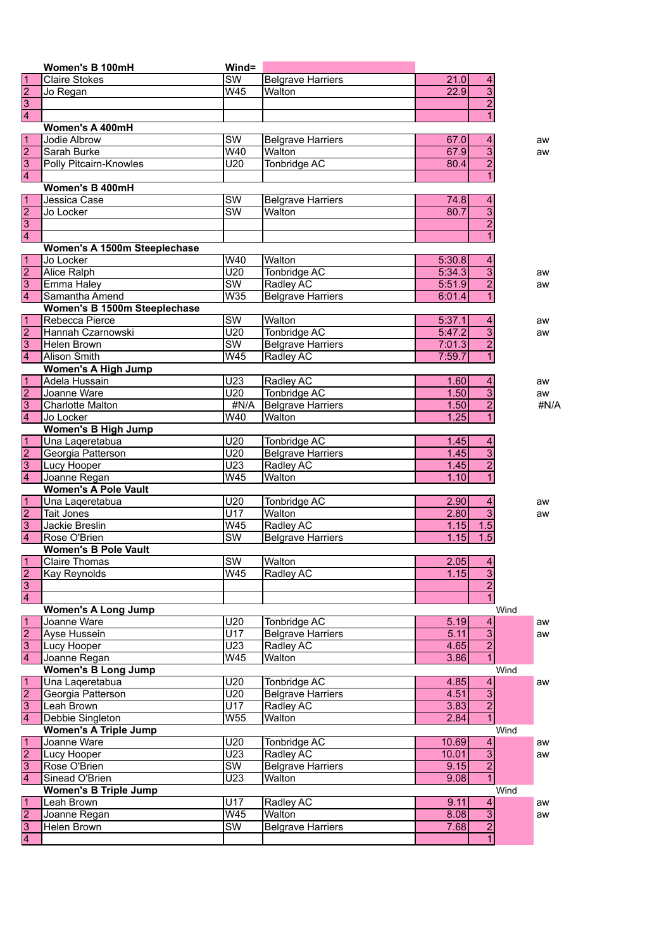|                                           | Women's B 100mH                | Wind=                         |                          |              |                                |      |      |
|-------------------------------------------|--------------------------------|-------------------------------|--------------------------|--------------|--------------------------------|------|------|
| $\frac{1}{2}$ $\frac{1}{3}$ $\frac{1}{4}$ | <b>Claire Stokes</b>           | <b>SW</b>                     | <b>Belgrave Harriers</b> | 21.0         | 4                              |      |      |
|                                           | Jo Regan                       | W45                           | Walton                   | 22.9         | $\overline{3}$                 |      |      |
|                                           |                                |                               |                          |              | $\overline{2}$                 |      |      |
|                                           |                                |                               |                          |              | $\mathbf{1}$                   |      |      |
|                                           | Women's A 400mH                |                               |                          |              |                                |      |      |
| $\frac{1}{2}$ $\frac{2}{3}$ $\frac{1}{4}$ | Jodie Albrow                   | $\overline{\text{SW}}$        | <b>Belgrave Harriers</b> | 67.0         | 4                              |      | aw   |
|                                           | Sarah Burke                    | W40                           | Walton                   | 67.9         | $\overline{3}$                 |      | aw   |
|                                           | Polly Pitcairn-Knowles         | U20                           | <b>Tonbridge AC</b>      | 80.4         | $\overline{2}$                 |      |      |
|                                           |                                |                               |                          |              | $\overline{1}$                 |      |      |
|                                           | Women's B 400mH                |                               |                          |              |                                |      |      |
|                                           | Jessica Case                   | <b>SW</b>                     | <b>Belgrave Harriers</b> | 74.8         | $\overline{4}$                 |      |      |
| $\frac{1}{2}$ $\frac{2}{3}$ $\frac{1}{4}$ | Jo Locker                      | $\overline{\text{SW}}$        | Walton                   | 80.7         | $\overline{3}$                 |      |      |
|                                           |                                |                               |                          |              | $\overline{c}$<br>$\mathbf{1}$ |      |      |
|                                           | Women's A 1500m Steeplechase   |                               |                          |              |                                |      |      |
|                                           | Jo Locker                      | W40                           | Walton                   | 5:30.8       | 4                              |      |      |
| $\frac{1}{2}$ $\frac{2}{3}$ $\frac{4}{4}$ | Alice Ralph                    | U20                           | <b>Tonbridge AC</b>      | 5:34.3       | $\overline{3}$                 |      | aw   |
|                                           | Emma Haley                     | $\overline{\text{SW}}$        | Radley AC                | 5:51.9       | $\overline{2}$                 |      | aw   |
|                                           | Samantha Amend                 | W35                           | <b>Belgrave Harriers</b> | 6:01.4       | $\mathbf{1}$                   |      |      |
|                                           | Women's B 1500m Steeplechase   |                               |                          |              |                                |      |      |
|                                           | Rebecca Pierce                 | $\overline{\text{SW}}$        | Walton                   | 5:37.1       | 4                              |      | aw   |
| $\frac{1}{2}$ $\frac{2}{3}$ $\frac{1}{4}$ | Hannah Czarnowski              | U20                           | <b>Tonbridge AC</b>      | 5:47.2       | $\overline{3}$                 |      | aw   |
|                                           | Helen Brown                    | $\overline{\text{SW}}$        | <b>Belgrave Harriers</b> | 7:01.3       | $\overline{2}$                 |      |      |
|                                           | Alison Smith                   | W45                           | Radley AC                | 7:59.7       | $\mathbf{1}$                   |      |      |
|                                           | <b>Women's A High Jump</b>     |                               |                          |              |                                |      |      |
| $\frac{1}{2}$ $\frac{2}{3}$ $\frac{1}{4}$ | Adela Hussain                  | U23                           | Radley AC                | 1.60         | 4                              |      | aw   |
|                                           | Joanne Ware                    | U20                           | Tonbridge AC             | 1.50         | $\overline{3}$                 |      | aw   |
|                                           | Charlotte Malton               | #N/A                          | <b>Belgrave Harriers</b> | 1.50         | $\overline{2}$                 |      | #N/A |
|                                           | Jo Locker                      | <b>W40</b>                    | Walton                   | 1.25         | $\mathbf{1}$                   |      |      |
|                                           | <b>Women's B High Jump</b>     |                               |                          |              |                                |      |      |
| $\frac{1}{2}$ $\frac{1}{3}$               | Una Laqeretabua                | U20                           | Tonbridge AC             | 1.45         | 4                              |      |      |
|                                           | Georgia Patterson              | U20                           | <b>Belgrave Harriers</b> | 1.45         | $\overline{3}$                 |      |      |
|                                           | Lucy Hooper                    | $\overline{U23}$              | Radley AC                | 1.45         | $\overline{2}$                 |      |      |
|                                           | Joanne Regan                   | W <sub>45</sub>               | Walton                   | 1.10         | $\overline{1}$                 |      |      |
|                                           | <b>Women's A Pole Vault</b>    |                               |                          |              |                                |      |      |
|                                           | Una Laqeretabua                | U20                           | Tonbridge AC             | 2.90         | 4                              |      | aw   |
|                                           | Tait Jones                     | U17                           | Walton                   | 2.80         | $\overline{3}$                 |      | aw   |
| $\frac{1}{2}$ $\frac{2}{3}$ $\frac{1}{4}$ | Jackie Breslin<br>Rose O'Brien | W45<br>$\overline{\text{SW}}$ | Radley AC                | 1.15<br>1.15 | 1.5<br>1.5                     |      |      |
|                                           | <b>Women's B Pole Vault</b>    |                               | <b>Belgrave Harriers</b> |              |                                |      |      |
| $\overline{1}$                            | <b>Claire Thomas</b>           | <b>SW</b>                     | Walton                   | 2.05         | 4 <sup>1</sup>                 |      |      |
|                                           | Kay Reynolds                   | W45                           | Radley AC                | 1.15         | $\overline{3}$                 |      |      |
|                                           |                                |                               |                          |              | $\overline{2}$                 |      |      |
| $\frac{2}{3}$                             |                                |                               |                          |              | $\overline{1}$                 |      |      |
|                                           | <b>Women's A Long Jump</b>     |                               |                          |              |                                | Wind |      |
|                                           | Joanne Ware                    | U20                           | Tonbridge AC             | 5.19         | 4                              |      | aw   |
| $\frac{1}{2}$ $\frac{1}{3}$ $\frac{1}{4}$ | <b>Ayse Hussein</b>            | U17                           | <b>Belgrave Harriers</b> | 5.11         | $\overline{3}$                 |      | aw   |
|                                           | Lucy Hooper                    | U <sub>23</sub>               | Radley AC                | 4.65         | $\overline{2}$                 |      |      |
|                                           | Joanne Regan                   | W45                           | Walton                   | 3.86         | $\mathbf{1}$                   |      |      |
|                                           | <b>Women's B Long Jump</b>     |                               |                          |              |                                | Wind |      |
|                                           | Una Laqeretabua                | U20                           | Tonbridge AC             | 4.85         | $\overline{4}$                 |      | aw   |
| $\frac{1}{2}$ $\frac{2}{3}$ $\frac{1}{4}$ | Georgia Patterson              | U20                           | <b>Belgrave Harriers</b> | 4.51         | $\overline{3}$                 |      |      |
|                                           | Leah Brown                     | U17                           | Radley AC                | 3.83         | $\overline{2}$                 |      |      |
|                                           | Debbie Singleton               | W55                           | Walton                   | 2.84         | $\mathbf{1}$                   |      |      |
|                                           | <b>Women's A Triple Jump</b>   |                               |                          |              |                                | Wind |      |
| $\frac{1}{2}$ $\frac{2}{3}$ $\frac{3}{4}$ | Joanne Ware                    | U20                           | Tonbridge AC             | 10.69        | $\overline{\mathbf{4}}$        |      | aw   |
|                                           | Lucy Hooper                    | U <sub>23</sub>               | <b>Radley AC</b>         | 10.01        | $\overline{3}$                 |      | aw   |
|                                           | Rose O'Brien                   | <b>SW</b>                     | <b>Belgrave Harriers</b> | 9.15         | $\overline{2}$                 |      |      |
|                                           | Sinead O'Brien                 | U23                           | Walton                   | 9.08         | $\mathbf{1}$                   |      |      |
|                                           | <b>Women's B Triple Jump</b>   |                               |                          |              |                                | Wind |      |
|                                           | Leah Brown                     | U17                           | <b>Radley AC</b>         | 9.11         | $\overline{4}$                 |      | aw   |
|                                           | Joanne Regan                   | W45                           | Walton                   | 8.08         | 3                              |      | aw   |
| $\frac{1}{2}$ $\frac{2}{3}$ $\frac{1}{4}$ | Helen Brown                    | $\overline{\text{SW}}$        | <b>Belgrave Harriers</b> | 7.68         | $\overline{2}$                 |      |      |
|                                           |                                |                               |                          |              | $\mathbf{1}$                   |      |      |